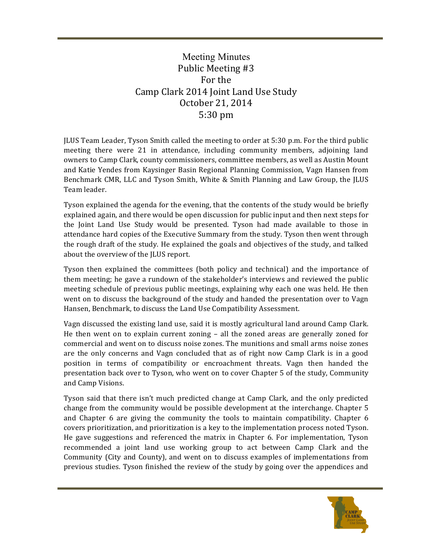## Meeting Minutes Public Meeting #3 For the Camp Clark 2014 Joint Land Use Study October 21, 2014 5:30 pm

JLUS Team Leader, Tyson Smith called the meeting to order at 5:30 p.m. For the third public meeting there were 21 in attendance, including community members, adjoining land owners to Camp Clark, county commissioners, committee members, as well as Austin Mount and Katie Yendes from Kaysinger Basin Regional Planning Commission, Vagn Hansen from Benchmark CMR, LLC and Tyson Smith, White & Smith Planning and Law Group, the JLUS Team leader.

Tyson explained the agenda for the evening, that the contents of the study would be briefly explained again, and there would be open discussion for public input and then next steps for the Joint Land Use Study would be presented. Tyson had made available to those in attendance hard copies of the Executive Summary from the study. Tyson then went through the rough draft of the study. He explained the goals and objectives of the study, and talked about the overview of the JLUS report.

Tyson then explained the committees (both policy and technical) and the importance of them meeting; he gave a rundown of the stakeholder's interviews and reviewed the public meeting schedule of previous public meetings, explaining why each one was held. He then went on to discuss the background of the study and handed the presentation over to Vagn Hansen, Benchmark, to discuss the Land Use Compatibility Assessment.

Vagn discussed the existing land use, said it is mostly agricultural land around Camp Clark. He then went on to explain current zoning  $-$  all the zoned areas are generally zoned for commercial and went on to discuss noise zones. The munitions and small arms noise zones are the only concerns and Vagn concluded that as of right now Camp Clark is in a good position in terms of compatibility or encroachment threats. Vagn then handed the presentation back over to Tyson, who went on to cover Chapter 5 of the study, Community and Camp Visions.

Tyson said that there isn't much predicted change at Camp Clark, and the only predicted change from the community would be possible development at the interchange. Chapter 5 and Chapter  $6$  are giving the community the tools to maintain compatibility. Chapter  $6$ covers prioritization, and prioritization is a key to the implementation process noted Tyson. He gave suggestions and referenced the matrix in Chapter 6. For implementation, Tyson recommended a joint land use working group to act between Camp Clark and the Community (City and County), and went on to discuss examples of implementations from previous studies. Tyson finished the review of the study by going over the appendices and